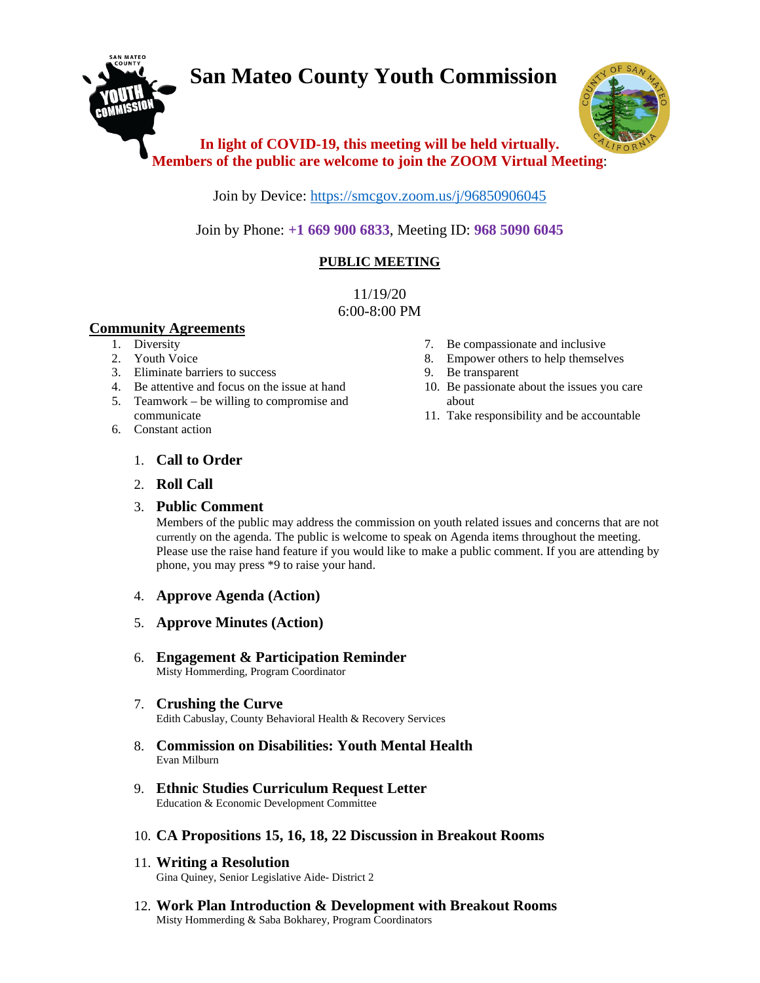# **San Mateo County Youth Commission**



# **In light of COVID-19, this meeting will be held virtually. Members of the public are welcome to join the ZOOM Virtual Meeting**:

Join by Device:<https://smcgov.zoom.us/j/96850906045>

Join by Phone: **+1 669 900 6833**, Meeting ID: **968 5090 6045**

# **PUBLIC MEETING**

11/19/20 6:00-8:00 PM

## **Community Agreements**

- 1. Diversity
- 2. Youth Voice
- 3. Eliminate barriers to success
- 4. Be attentive and focus on the issue at hand
- 5. Teamwork be willing to compromise and communicate
- 6. Constant action
- 7. Be compassionate and inclusive
- 8. Empower others to help themselves
- 9. Be transparent
- 10. Be passionate about the issues you care about
- 11. Take responsibility and be accountable

- 1. **Call to Order**
- 2. **Roll Call**

#### 3. **Public Comment**

Members of the public may address the commission on youth related issues and concerns that are not currently on the agenda. The public is welcome to speak on Agenda items throughout the meeting. Please use the raise hand feature if you would like to make a public comment. If you are attending by phone, you may press \*9 to raise your hand.

- 4. **Approve Agenda (Action)**
- 5. **Approve Minutes (Action)**
- 6. **Engagement & Participation Reminder**  Misty Hommerding, Program Coordinator
- 7. **Crushing the Curve** Edith Cabuslay, County Behavioral Health & Recovery Services
- 8. **Commission on Disabilities: Youth Mental Health** Evan Milburn
- 9. **Ethnic Studies Curriculum Request Letter** Education & Economic Development Committee
- 10. **CA Propositions 15, 16, 18, 22 Discussion in Breakout Rooms**
- 11. **Writing a Resolution**  Gina Quiney, Senior Legislative Aide- District 2
- 12. **Work Plan Introduction & Development with Breakout Rooms** Misty Hommerding & Saba Bokharey, Program Coordinators